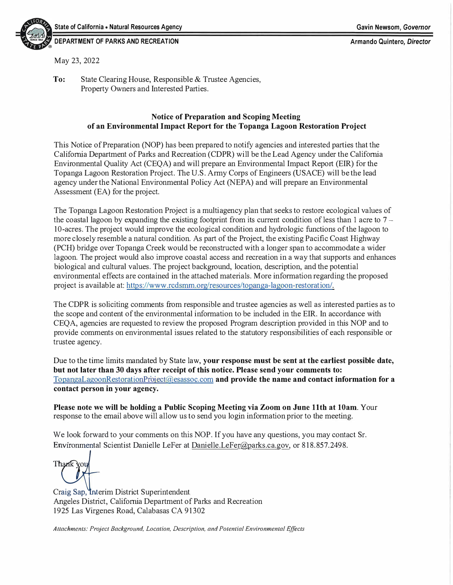

#### **DEPARTMENT OF PARKS AND RECREATION Armando Quintero,** *Director*

May 23, 2022

**To:** State Clearing House, Responsible & Trustee Agencies, Property Owners and Interested Parties.

#### **Notice of Preparation and Scoping Meeting of an Environmental Impact Report for the Topanga Lagoon Restoration Project**

This Notice of Preparation (NOP) has been prepared to notify agencies and interested parties that the California Department of Parks and Recreation (CDPR) will be the Lead Agency under the California Environmental Quality Act (CEQA) and will prepare an Environmental Impact Report (EIR) for the Topanga Lagoon Restoration Project. The U.S. Army Corps of Engineers (USACE) will be the lead agency under the National Environmental Policy Act (NEPA) and will prepare an Environmental Assessment (EA) for the project.

The Topanga Lagoon Restoration Project is a multiagency plan that seeks to restore ecological values of the coastal lagoon by expanding the existing footprint from its current condition of less than 1 acre to  $7 -$ 10-acres. The project would improve the ecological condition and hydrologic functions of the lagoon to more closely resemble a natural condition. As part of the Project, the existing Pacific Coast Highway (PCH) bridge over Topanga Creek would be reconstructed with a longer span to accommodate a wider lagoon. The project would also improve coastal access and recreation in a way that supports and enhances biological and cultural values. The project background, location, description, and the potential environmental effects are contained in the attached materials. More information regarding the proposed project is available at: https://www[.rcdsmm.org/resources/topanga-lagoon-restoration/](https://rcdsmm.org/resources/topanga-lagoon-restoration).

The CDPR is soliciting comments from responsible and trustee agencies as well as interested parties as to the scope and content of the environmental information to be included in the EIR. In accordance with CEQA, agencies are requested to review the proposed Program description provided in this NOP and to provide comments on environmental issues related to the statutory responsibilities of each responsible or trustee agency.

Due to the time limits mandated by State law, **your response must be sent at the earliest possible date, but not later than 30 days after receipt of this notice. Please send your comments to:**  [TopangaLagoonRestorationProject@esassoc.com](mailto:TopangaLagoonRestorationProject@esassoc.com) **and provide the name and contact information for a contact person in your agency.** 

**Please note we will be holding a Public Scoping Meeting via Zoom on June 11th at 10am.** Your response to the email above will allow us to send you login information prior to the meeting.

We look forward to your comments on this NOP. If you have any questions, you may contact Sr. Environmental Scientist Danielle LeFer at <u>[Danielle.LeFer@parks.ca.gov](mailto:Danielle.LeFer@parks.ca.gov)</u>, or 818.857.2498.<br>Thank You

Craig Sap, Interim District Superintendent Angeles District, California Department of Parks and Recreation 1925 Las Virgenes Road, Calabasas CA 91302

*Attachments: Project Background, Location, Description, and Potential Environmental Effects*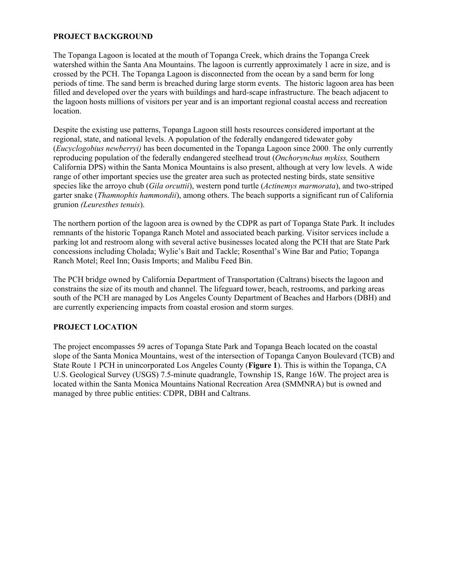### **PROJECT BACKGROUND**

 crossed by the PCH. The Topanga Lagoon is disconnected from the ocean by a sand berm for long The Topanga Lagoon is located at the mouth of Topanga Creek, which drains the Topanga Creek watershed within the Santa Ana Mountains. The lagoon is currently approximately 1 acre in size, and is periods of time. The sand berm is breached during large storm events. The historic lagoon area has been filled and developed over the years with buildings and hard-scape infrastructure. The beach adjacent to the lagoon hosts millions of visitors per year and is an important regional coastal access and recreation location.

grunion (Leuresthes tenuis). Despite the existing use patterns, Topanga Lagoon still hosts resources considered important at the regional, state, and national levels. A population of the federally endangered tidewater goby (*Eucyclogobius newberryi)* has been documented in the Topanga Lagoon since 2000. The only currently reproducing population of the federally endangered steelhead trout (*Onchorynchus mykiss,* Southern California DPS) within the Santa Monica Mountains is also present, although at very low levels. A wide range of other important species use the greater area such as protected nesting birds, state sensitive species like the arroyo chub (*Gila orcuttii*), western pond turtle (*Actinemys marmorata*), and two-striped garter snake (*Thamnophis hammondii*), among others. The beach supports a significant run of California

 parking lot and restroom along with several active businesses located along the PCH that are State Park The northern portion of the lagoon area is owned by the CDPR as part of Topanga State Park. It includes remnants of the historic Topanga Ranch Motel and associated beach parking. Visitor services include a concessions including Cholada; Wylie's Bait and Tackle; Rosenthal's Wine Bar and Patio; Topanga Ranch Motel; Reel Inn; Oasis Imports; and Malibu Feed Bin.

The PCH bridge owned by California Department of Transportation (Caltrans) bisects the lagoon and constrains the size of its mouth and channel. The lifeguard tower, beach, restrooms, and parking areas south of the PCH are managed by Los Angeles County Department of Beaches and Harbors (DBH) and are currently experiencing impacts from coastal erosion and storm surges.

## **PROJECT LOCATION**

The project encompasses 59 acres of Topanga State Park and Topanga Beach located on the coastal slope of the Santa Monica Mountains, west of the intersection of Topanga Canyon Boulevard (TCB) and State Route 1 PCH in unincorporated Los Angeles County (**Figure 1**). This is within the Topanga, CA U.S. Geological Survey (USGS) 7.5-minute quadrangle, Township 1S, Range 16W. The project area is located within the Santa Monica Mountains National Recreation Area (SMMNRA) but is owned and managed by three public entities: CDPR, DBH and Caltrans.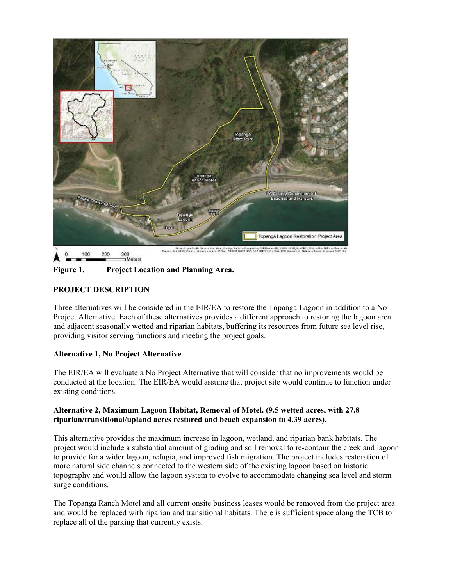

Meters

**Figure 1. Project Location and Planning Area.** 

### **PROJECT DESCRIPTION**

Three alternatives will be considered in the EIR/EA to restore the Topanga Lagoon in addition to a No Project Alternative. Each of these alternatives provides a different approach to restoring the lagoon area and adjacent seasonally wetted and riparian habitats, buffering its resources from future sea level rise, providing visitor serving functions and meeting the project goals.

## **Alternative 1, No Project Alternative**

 The EIR/EA will evaluate a No Project Alternative that will consider that no improvements would be conducted at the location. The EIR/EA would assume that project site would continue to function under existing conditions.

#### **Alternative 2, Maximum Lagoon Habitat, Removal of Motel. (9.5 wetted acres, with 27.8 riparian/transitional/upland acres restored and beach expansion to 4.39 acres).**

This alternative provides the maximum increase in lagoon, wetland, and riparian bank habitats. The project would include a substantial amount of grading and soil removal to re-contour the creek and lagoon to provide for a wider lagoon, refugia, and improved fish migration. The project includes restoration of more natural side channels connected to the western side of the existing lagoon based on historic topography and would allow the lagoon system to evolve to accommodate changing sea level and storm surge conditions.

The Topanga Ranch Motel and all current onsite business leases would be removed from the project area and would be replaced with riparian and transitional habitats. There is sufficient space along the TCB to replace all of the parking that currently exists.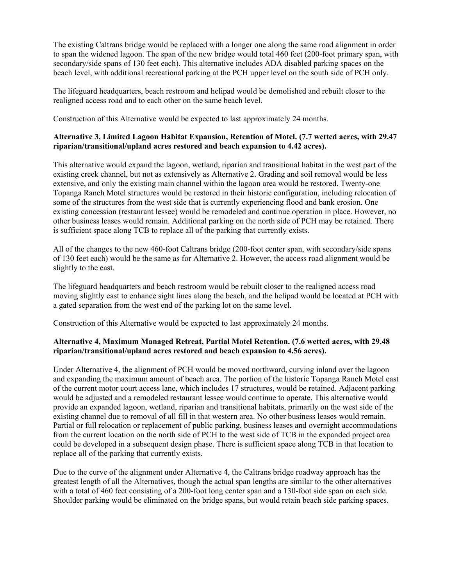The existing Caltrans bridge would be replaced with a longer one along the same road alignment in order to span the widened lagoon. The span of the new bridge would total 460 feet (200-foot primary span, with secondary/side spans of 130 feet each). This alternative includes ADA disabled parking spaces on the beach level, with additional recreational parking at the PCH upper level on the south side of PCH only.

The lifeguard headquarters, beach restroom and helipad would be demolished and rebuilt closer to the realigned access road and to each other on the same beach level.

Construction of this Alternative would be expected to last approximately 24 months.

### **Alternative 3, Limited Lagoon Habitat Expansion, Retention of Motel. (7.7 wetted acres, with 29.47 riparian/transitional/upland acres restored and beach expansion to 4.42 acres).**

 This alternative would expand the lagoon, wetland, riparian and transitional habitat in the west part of the existing creek channel, but not as extensively as Alternative 2. Grading and soil removal would be less extensive, and only the existing main channel within the lagoon area would be restored. Twenty-one Topanga Ranch Motel structures would be restored in their historic configuration, including relocation of some of the structures from the west side that is currently experiencing flood and bank erosion. One existing concession (restaurant lessee) would be remodeled and continue operation in place. However, no other business leases would remain. Additional parking on the north side of PCH may be retained. There is sufficient space along TCB to replace all of the parking that currently exists.

All of the changes to the new 460-foot Caltrans bridge (200-foot center span, with secondary/side spans of 130 feet each) would be the same as for Alternative 2. However, the access road alignment would be slightly to the east.

The lifeguard headquarters and beach restroom would be rebuilt closer to the realigned access road moving slightly east to enhance sight lines along the beach, and the helipad would be located at PCH with a gated separation from the west end of the parking lot on the same level.

Construction of this Alternative would be expected to last approximately 24 months.

## **Alternative 4, Maximum Managed Retreat, Partial Motel Retention. (7.6 wetted acres, with 29.48 riparian/transitional/upland acres restored and beach expansion to 4.56 acres).**

 of the current motor court access lane, which includes 17 structures, would be retained. Adjacent parking Partial or full relocation or replacement of public parking, business leases and overnight accommodations Under Alternative 4, the alignment of PCH would be moved northward, curving inland over the lagoon and expanding the maximum amount of beach area. The portion of the historic Topanga Ranch Motel east would be adjusted and a remodeled restaurant lessee would continue to operate. This alternative would provide an expanded lagoon, wetland, riparian and transitional habitats, primarily on the west side of the existing channel due to removal of all fill in that western area. No other business leases would remain. from the current location on the north side of PCH to the west side of TCB in the expanded project area could be developed in a subsequent design phase. There is sufficient space along TCB in that location to replace all of the parking that currently exists.

 Shoulder parking would be eliminated on the bridge spans, but would retain beach side parking spaces. Due to the curve of the alignment under Alternative 4, the Caltrans bridge roadway approach has the greatest length of all the Alternatives, though the actual span lengths are similar to the other alternatives with a total of 460 feet consisting of a 200-foot long center span and a 130-foot side span on each side.